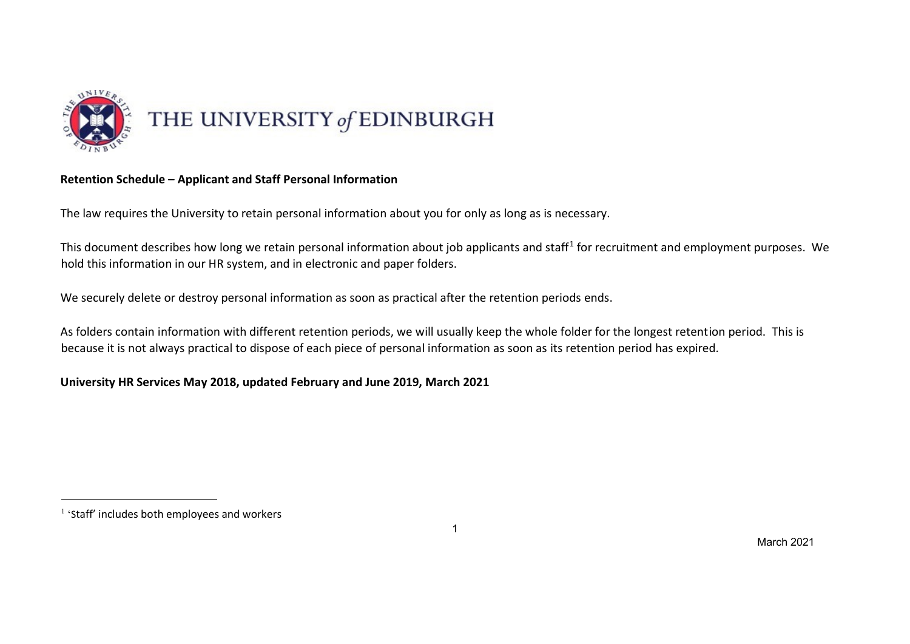

## **Retention Schedule – Applicant and Staff Personal Information**

The law requires the University to retain personal information about you for only as long as is necessary.

This document describes how long we retain personal information about job applicants and staff<sup>1</sup> for recruitment and employment purposes. We hold this information in our HR system, and in electronic and paper folders.

We securely delete or destroy personal information as soon as practical after the retention periods ends.

As folders contain information with different retention periods, we will usually keep the whole folder for the longest retention period. This is because it is not always practical to dispose of each piece of personal information as soon as its retention period has expired.

## **University HR Services May 2018, updated February and June 2019, March 2021**

 $\overline{a}$ 

<sup>1</sup> 'Staff' includes both employees and workers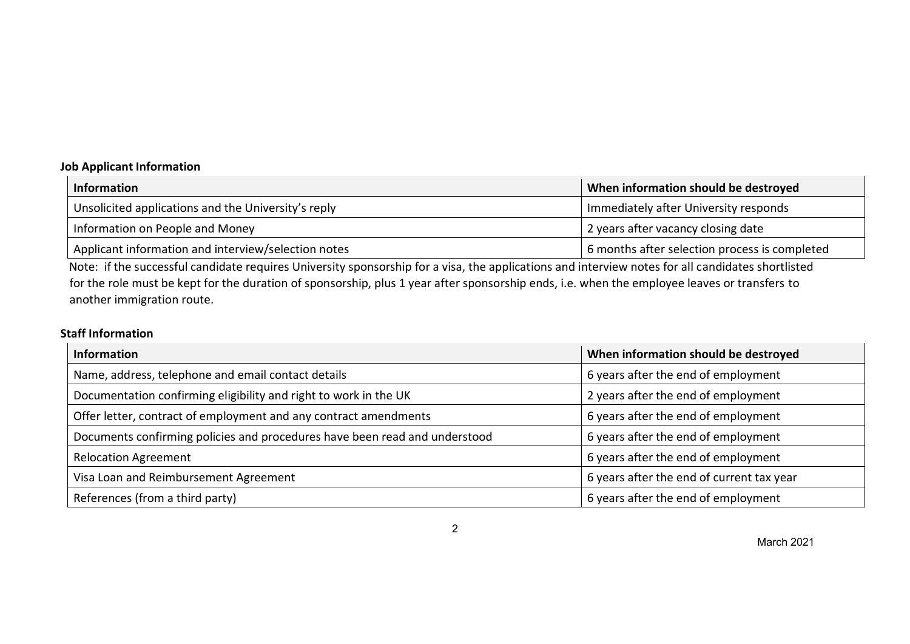## **Job Applicant Information**

| <b>Information</b>                                  | When information should be destroyed          |
|-----------------------------------------------------|-----------------------------------------------|
| Unsolicited applications and the University's reply | Immediately after University responds         |
| Information on People and Money                     | 2 years after vacancy closing date            |
| Applicant information and interview/selection notes | 6 months after selection process is completed |

Note: if the successful candidate requires University sponsorship for a visa, the applications and interview notes for all candidates shortlisted for the role must be kept for the duration of sponsorship, plus 1 year after sponsorship ends, i.e. when the employee leaves or transfers to another immigration route.

## **Staff Information**

| <b>Information</b>                                                         | When information should be destroyed      |
|----------------------------------------------------------------------------|-------------------------------------------|
| Name, address, telephone and email contact details                         | 6 years after the end of employment       |
| Documentation confirming eligibility and right to work in the UK           | 2 years after the end of employment       |
| Offer letter, contract of employment and any contract amendments           | 6 years after the end of employment       |
| Documents confirming policies and procedures have been read and understood | 6 years after the end of employment       |
| <b>Relocation Agreement</b>                                                | 6 years after the end of employment       |
| Visa Loan and Reimbursement Agreement                                      | 6 years after the end of current tax year |
| References (from a third party)                                            | 6 years after the end of employment       |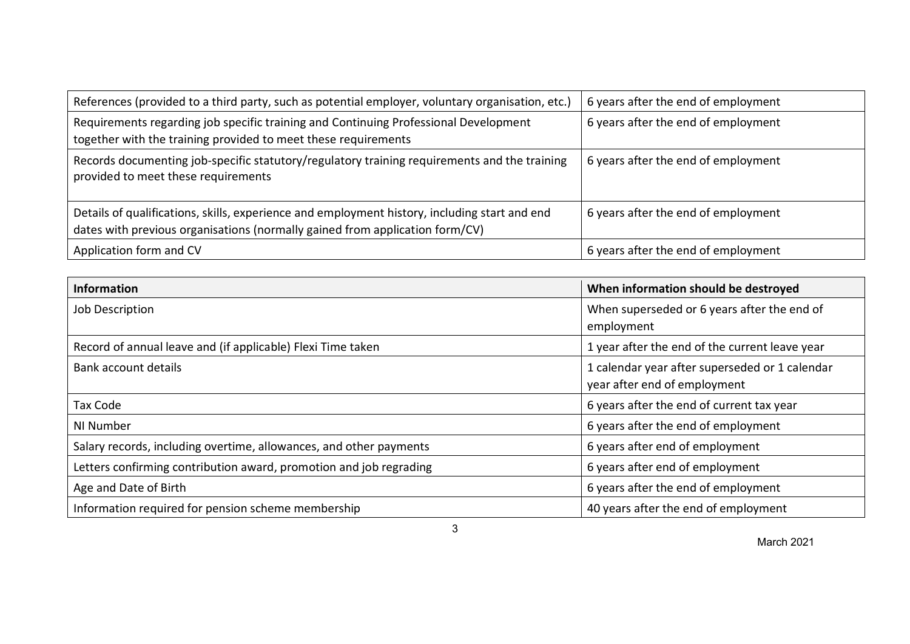| References (provided to a third party, such as potential employer, voluntary organisation, etc.)                                                                              | 6 years after the end of employment |
|-------------------------------------------------------------------------------------------------------------------------------------------------------------------------------|-------------------------------------|
| Requirements regarding job specific training and Continuing Professional Development                                                                                          | 6 years after the end of employment |
| together with the training provided to meet these requirements                                                                                                                |                                     |
| Records documenting job-specific statutory/regulatory training requirements and the training<br>provided to meet these requirements                                           | 6 years after the end of employment |
| Details of qualifications, skills, experience and employment history, including start and end<br>dates with previous organisations (normally gained from application form/CV) | 6 years after the end of employment |
| Application form and CV                                                                                                                                                       | 6 years after the end of employment |

| <b>Information</b>                                                 | When information should be destroyed                                           |
|--------------------------------------------------------------------|--------------------------------------------------------------------------------|
| Job Description                                                    | When superseded or 6 years after the end of<br>employment                      |
| Record of annual leave and (if applicable) Flexi Time taken        | 1 year after the end of the current leave year                                 |
| Bank account details                                               | 1 calendar year after superseded or 1 calendar<br>year after end of employment |
| Tax Code                                                           | 6 years after the end of current tax year                                      |
| NI Number                                                          | 6 years after the end of employment                                            |
| Salary records, including overtime, allowances, and other payments | 6 years after end of employment                                                |
| Letters confirming contribution award, promotion and job regrading | 6 years after end of employment                                                |
| Age and Date of Birth                                              | 6 years after the end of employment                                            |
| Information required for pension scheme membership                 | 40 years after the end of employment                                           |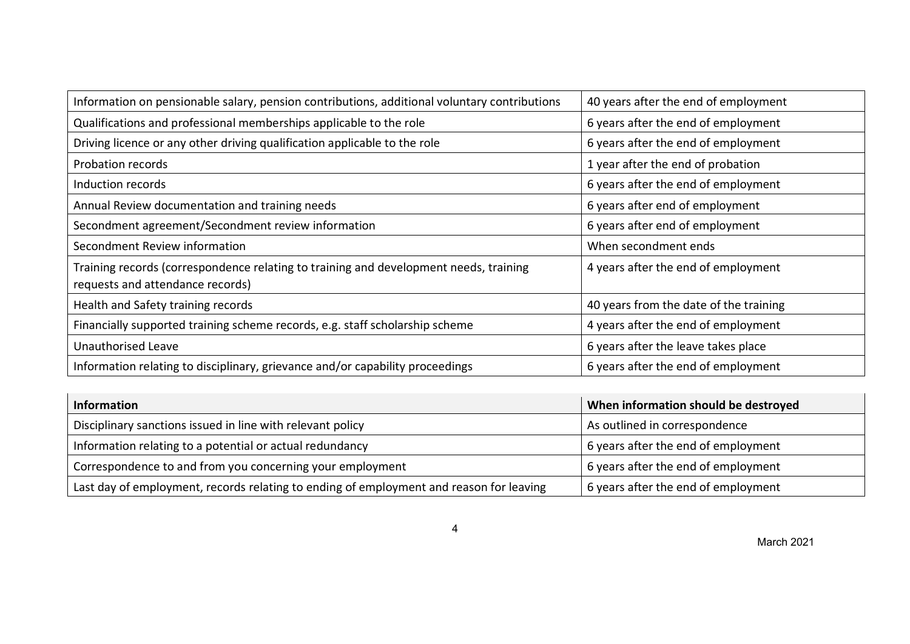| Information on pensionable salary, pension contributions, additional voluntary contributions                              | 40 years after the end of employment   |
|---------------------------------------------------------------------------------------------------------------------------|----------------------------------------|
| Qualifications and professional memberships applicable to the role                                                        | 6 years after the end of employment    |
| Driving licence or any other driving qualification applicable to the role                                                 | 6 years after the end of employment    |
| Probation records                                                                                                         | 1 year after the end of probation      |
| Induction records                                                                                                         | 6 years after the end of employment    |
| Annual Review documentation and training needs                                                                            | 6 years after end of employment        |
| Secondment agreement/Secondment review information                                                                        | 6 years after end of employment        |
| Secondment Review information                                                                                             | When secondment ends                   |
| Training records (correspondence relating to training and development needs, training<br>requests and attendance records) | 4 years after the end of employment    |
| Health and Safety training records                                                                                        | 40 years from the date of the training |
| Financially supported training scheme records, e.g. staff scholarship scheme                                              | 4 years after the end of employment    |
| <b>Unauthorised Leave</b>                                                                                                 | 6 years after the leave takes place    |
| Information relating to disciplinary, grievance and/or capability proceedings                                             | 6 years after the end of employment    |

| Information                                                                             | When information should be destroyed |
|-----------------------------------------------------------------------------------------|--------------------------------------|
| Disciplinary sanctions issued in line with relevant policy                              | As outlined in correspondence        |
| Information relating to a potential or actual redundancy                                | 6 years after the end of employment  |
| Correspondence to and from you concerning your employment                               | 6 years after the end of employment  |
| Last day of employment, records relating to ending of employment and reason for leaving | 6 years after the end of employment  |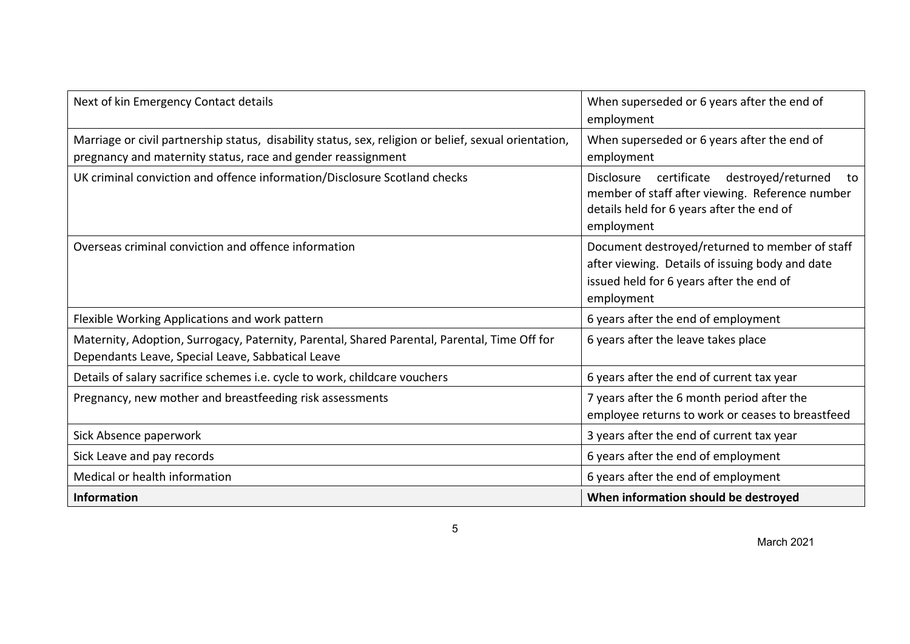| Next of kin Emergency Contact details                                                                                                                                 | When superseded or 6 years after the end of<br>employment                                                                                                     |
|-----------------------------------------------------------------------------------------------------------------------------------------------------------------------|---------------------------------------------------------------------------------------------------------------------------------------------------------------|
| Marriage or civil partnership status, disability status, sex, religion or belief, sexual orientation,<br>pregnancy and maternity status, race and gender reassignment | When superseded or 6 years after the end of<br>employment                                                                                                     |
| UK criminal conviction and offence information/Disclosure Scotland checks                                                                                             | Disclosure certificate destroyed/returned<br>to<br>member of staff after viewing. Reference number<br>details held for 6 years after the end of<br>employment |
| Overseas criminal conviction and offence information                                                                                                                  | Document destroyed/returned to member of staff<br>after viewing. Details of issuing body and date<br>issued held for 6 years after the end of<br>employment   |
| Flexible Working Applications and work pattern                                                                                                                        | 6 years after the end of employment                                                                                                                           |
| Maternity, Adoption, Surrogacy, Paternity, Parental, Shared Parental, Parental, Time Off for<br>Dependants Leave, Special Leave, Sabbatical Leave                     | 6 years after the leave takes place                                                                                                                           |
| Details of salary sacrifice schemes i.e. cycle to work, childcare vouchers                                                                                            | 6 years after the end of current tax year                                                                                                                     |
| Pregnancy, new mother and breastfeeding risk assessments                                                                                                              | 7 years after the 6 month period after the<br>employee returns to work or ceases to breastfeed                                                                |
| Sick Absence paperwork                                                                                                                                                | 3 years after the end of current tax year                                                                                                                     |
| Sick Leave and pay records                                                                                                                                            | 6 years after the end of employment                                                                                                                           |
| Medical or health information                                                                                                                                         | 6 years after the end of employment                                                                                                                           |
| <b>Information</b>                                                                                                                                                    | When information should be destroyed                                                                                                                          |